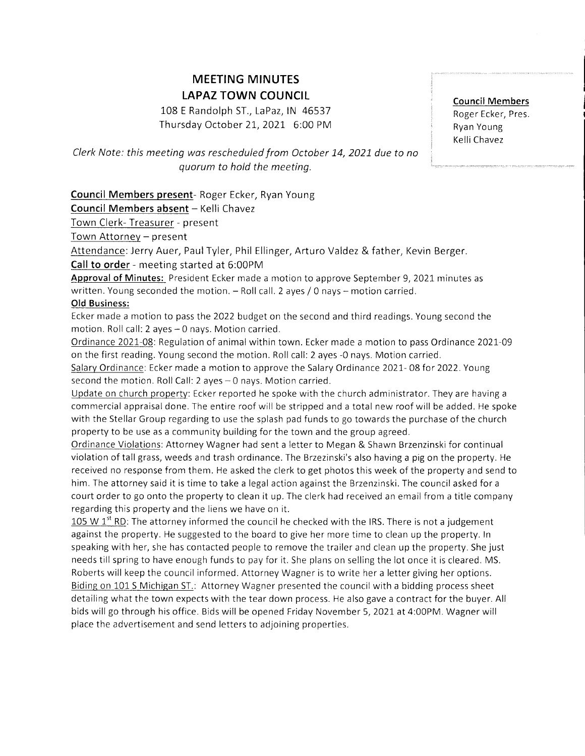# MEETING MINUTES LAPAZ TOWN COUNCIL

108 E Randolph ST., LaPaz, IN 46537 Thursday October 21, 2021 6:00 PM Council Members Roger Ecker, Pres. Ryan Young Kelli Chavez

,

Clerk Note: this meeting wos rescheduled from October 14, 2021 due to no quorum to hold the meeting.

Council Members present- Roger Ecker, Ryan Young

Council Members absent - Kelli Chavez

Town Clerk- Treasurer - present

Town Attorney - present

Attendance: Jerry Auer, Paul Tyler, Phil Ellinger, Arturo Valdez & father, Kevin Berger.

## Call to order - meeting started at 6:00PM

Approval of Minutes: President Ecker made a motion to approve September 9, 2021 minutes as written. Young seconded the motion.  $-$  Roll call. 2 ayes / 0 nays  $-$  motion carried.

## Old Business:

Ecker made a motion to pass the 2022 budget on the second and third readings. Young second the motion. Roll call: 2 ayes - 0 nays. Motion carried.

Ordinance 2021-08: Regulation of animal within town. Ecker made a motion to pass Ordinance 2021-09 on the first reading. Young second the motion. Rollcall: 2 ayes -0 nays. Motion carried.

Salary Ordinance: Ecker made a motion to approve the Salary Ordinance 2021-08 for 2022. Young second the motion. Roll Call: 2 ayes  $-0$  nays. Motion carried.

Update on church propertv: Ecker reported he spoke with the church administrator. They are having <sup>a</sup> commercial appraisal done. The entire roof will be stripped and a total new roof will be added. He spoke with the Stellar Group regarding to use the splash pad funds to go towards the purchase of the church property to be use as a community building forthe town and the group agreed.

Ordinance Violations: Attorney Wagner had sent a letter to Megan & Shawn Brzenzinski for continual violation of tall grass, weeds and trash ordinance. The Brzezinski's also having a pig on the property. He received no response from them. He asked the clerk to get photos this week of the property and send to him. The attorney said it is time to take a legal action against the Brzenzinski. The council asked for <sup>a</sup> court order to go onto the property to clean it up. The clerk had received an email from a title company regarding this property and the liens we have on it.

105 W  $1<sup>st</sup>$  RD: The attorney informed the council he checked with the IRS. There is not a judgement against the property. He suggested to the board to give her more time to clean up the property. ln speaking with her, she has contacted people to remove the trailer and clean up the property. She just needs till spring to have enough funds to pay for it. She plans on selling the lot once it is cleared. MS. Roberts will keep the council informed. Attorney Wagner is to write her a letter giving her options. Biding on 101 S Michigan ST.: Attorney Wagner presented the council with a bidding process sheet detailing what the town expects with the tear down process. He also gave a contract for the buyer. All bids will go through his office. Bids will be opened Friday November 5, 2021 at 4:00PM. Wagner will place the advertisement and send letters to adjoining properties.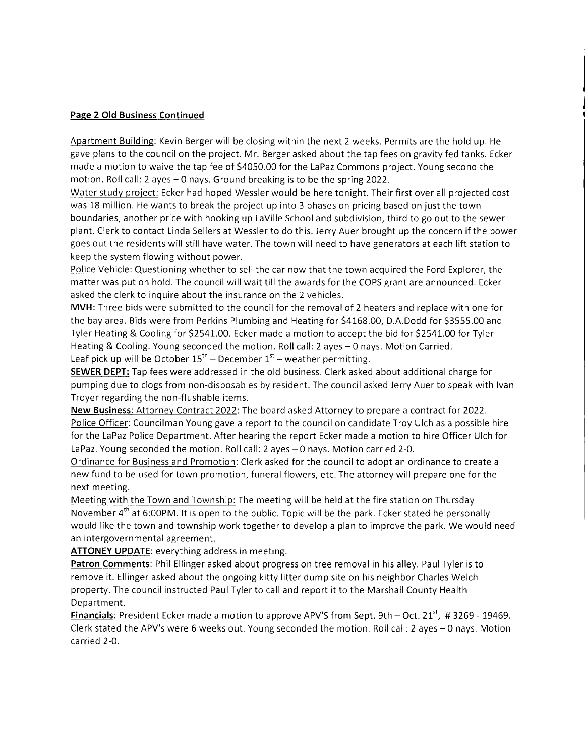#### Page 2 Old Business Continued

Apartment Building: Kevin Berger will be closing within the next 2 weeks. Permits are the hold up. He gave plans to the councilon the project. Mr. Berger asked about the tap fees on gravity fed tanks. Ecker made a motion to waive the tap fee of 54050.00 forthe LaPaz Commons project. Young second the motion. Roll call: 2 ayes - 0 nays. Ground breaking is to be the spring 2022.

Water study project: Ecker had hoped Wessler would be here tonight. Their first over all projected cost was 18 million. He wants to break the project up into 3 phases on pricing based on just the town boundaries, another price with hooking up LaVille School and subdivision, third to go out to the sewer plant. Clerk to contact Linda Sellers at Wessler to do this. Jerry Auer brought up the concern if the power goes out the residents will still have water. The town will need to have generators at each lift station to keep the system flowing without power.

Police Vehicle: Questioning whether to sell the car now that the town acquired the Ford Explorer, the matter was put on hold. The council will wait till the awards for the COPS grant are announced. Ecker asked the clerk to inquire about the insurance on the 2 vehicles.

MVH: Three bids were submitted to the council for the removal of 2 heaters and replace with one for the bay area. Bids were from Perkins Plumbing and Heating for \$4168.00, D.A.Dodd for \$3555.00 and Tyler Heating & Cooling for \$2541.00. Ecker made a motion to accept the bid for \$2541.00 for Tyler Heating & Cooling. Young seconded the motion. Roll call: 2 ayes - 0 nays. Motion Carried. Leaf pick up will be October  $15<sup>th</sup>$  – December  $1<sup>st</sup>$  – weather permitting.

SEWER DEPT: Tap fees were addressed in the old business. Clerk asked about additional charge for pumping due to clogs from non-disposables by resident. The council asked Jerry Auer to speak with lvan Troyer regarding the non-flushable items.

New Business: Attorney Contract 2022: The board asked Attorney to prepare a contract for 2022. Police Officer: Councilman Young gave a report to the council on candidate Troy Ulch as a possible hire for the LaPaz Police Department. After hearing the report Ecker made a motion to hire Officer Ulch for LaPaz. Young seconded the motion. Roll call: 2 ayes - 0 nays. Motion carried 2-0.

Ordinance for Business and Promotion: Clerk asked forthe council to adopt an ordinance to create <sup>a</sup> new fund to be used for town promotion, funeral flowers, etc. The attorney will prepare one for the next meeting.

Meeting with the Town and Township: The meeting will be held at the fire station on Thursday November 4<sup>th</sup> at 6:00PM. It is open to the public. Topic will be the park. Ecker stated he personally would like the town and township work together to develop a plan to improve the park. We would need an intergovernmental agreement.

ATTONEY UPDATE: everything address in meeting.

Patron Comments: Phil Ellinger asked about progress on tree removal in his alley. Paul Tyler is to remove it. Ellinger asked about the ongoing kitty litter dump site on his neighbor Charles Welch property. The council instructed Paul Tyler to call and report it to the Marshall County Health Department.

Financials: President Ecker made a motion to approve APV'S from Sept. 9th - Oct. 21<sup>st</sup>, #3269 - 19469. Clerk stated the APV's were 6 weeks out. Young seconded the motion. Rollcall: 2 ayes-0 nays. Motion carried 2-0.